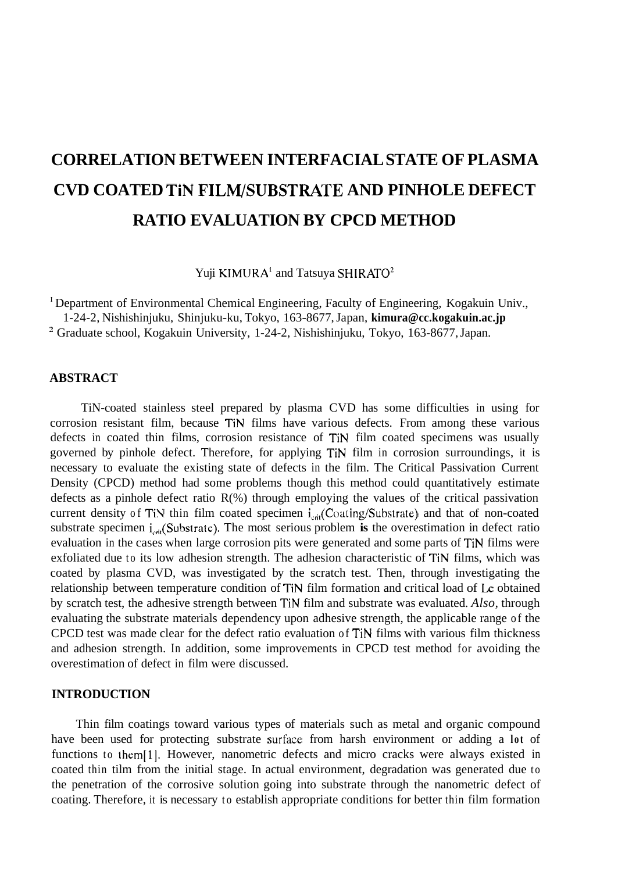# **CORRELATION BETWEEN INTERFACIAL STATE OF PLASMA CVD COATED TiN FILM/SUBSTRATE AND PINHOLE DEFECT RATIO EVALUATION BY CPCD METHOD**

Yuji KIMURA' and Tatsuya SHIRATO'

<sup>I</sup> Department of Environmental Chemical Engineering, Faculty of Engineering, Kogakuin Univ., 1-24-2, Nishishinjuku, Shinjuku-ku, Tokyo, 163-8677, Japan, **[kimura@cc.kogakuin.ac.jp](mailto:kimura@cc.kogakuin.ac.jp)**  ' Graduate school, Kogakuin University, 1-24-2, Nishishinjuku, Tokyo, 163-8677, Japan.

## **ABSTRACT**

TiN-coated stainless steel prepared by plasma CVD has some difficulties in using for corrosion resistant film, because TiN films have various defects. From among these various defects in coated thin films, corrosion resistance of TiN film coated specimens was usually governed by pinhole defect. Therefore, for applying TiN film in corrosion surroundings, it is necessary to evaluate the existing state of defects in the film. The Critical Passivation Current Density (CPCD) method had some problems though this method could quantitatively estimate defects as a pinhole defect ratio  $R(\%)$  through employing the values of the critical passivation current density of TiN thin film coated specimen i<sub>crit</sub>(Coating/Substrate) and that of non-coated substrate specimen i<sub>crit</sub>(Substrate). The most serious problem is the overestimation in defect ratio evaluation in the cases when large corrosion pits were generated and some parts of TiN films were exfoliated due to its low adhesion strength. The adhesion characteristic of TiN films, which was coated by plasma CVD, was investigated by the scratch test. Then, through investigating the relationship between temperature condition of TiN film formation and critical load of **LC** obtained by scratch test, the adhesive strength between TiN film and substrate was evaluated. *Also,* through evaluating the substrate materials dependency upon adhesive strength, the applicable range of the CPCD test was made clear for the defect ratio evaluation of TiN films with various film thickness and adhesion strength. In addition, some improvements in CPCD test method for avoiding the overestimation of defect in film were discussed.

## **INTRODUCTION**

Thin film coatings toward various types of materials such as metal and organic compound have been used for protecting substrate surface from harsh environment or adding a lot of functions to them<sup>[1]</sup>. However, nanometric defects and micro cracks were always existed in coated thin tilm from the initial stage. In actual environment, degradation was generated due to the penetration of the corrosive solution going into substrate through the nanometric defect of coating. Therefore, it is necessary to establish appropriate conditions for better thin film formation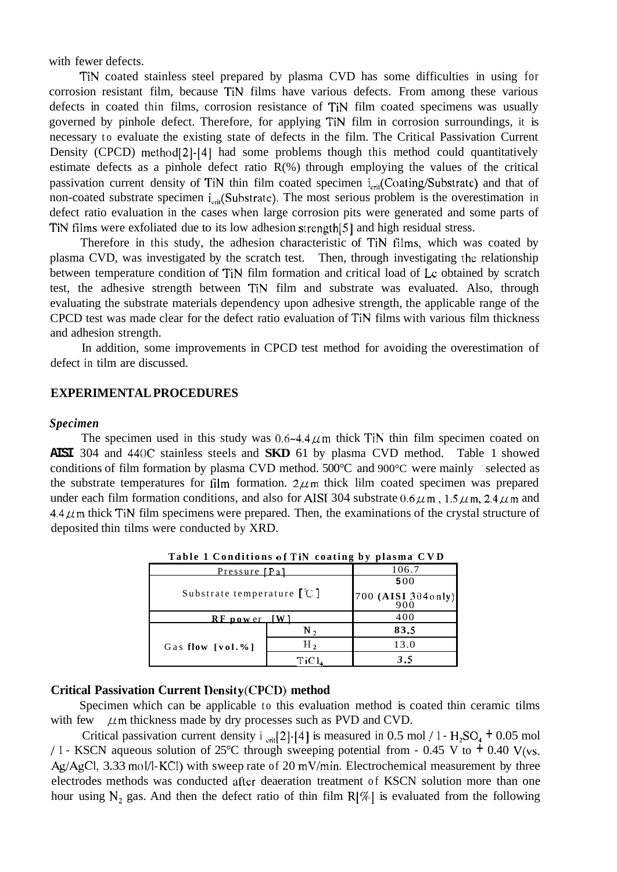with fewer defects.

TiN coated stainless steel prepared by plasma CVD has some difficulties in using for corrosion resistant film, because TiN films have various defects. From among these various defects in coated thin films, corrosion resistance of TiN film coated specimens was usually governed by pinhole defect. Therefore, for applying TiN film in corrosion surroundings, it is necessary to evaluate the existing state of defects in the film. The Critical Passivation Current Density (CPCD) method<sup>[2]</sup>-[4] had some problems though this method could quantitatively estimate defects as a pinhole defect ratio  $R(\%)$  through employing the values of the critical passivation current density of TiN thin film coated specimen i<sub>crit</sub>(Coating/Substrate) and that of non-coated substrate specimen  $i_{\rm crit}$ (Substrate). The most serious problem is the overestimation in defect ratio evaluation in the cases when large corrosion pits were generated and some parts of TiN films were exfoliated due to its low adhesion strength[5] and high residual stress.

Therefore in this study, the adhesion characteristic of TiN tilms, which was coated by plasma CVD, was investigated by the scratch test. Then, through investigating the relationship between temperature condition of TiN film formation and critical load of **Lc** obtained by scratch test, the adhesive strength between TiN film and substrate was evaluated. Also, through evaluating the substrate materials dependency upon adhesive strength, the applicable range of the CPCD test was made clear for the defect ratio evaluation of TiN films with various film thickness and adhesion strength.

defect in tilm are discussed. In addition, some improvements in CPCD test method for avoiding the overestimation of

#### **EXPERIMENTAL PROCEDURES**

#### *Specimen*

The specimen used in this study was  $0.6 - 4.4 \mu$ m thick TiN thin film specimen coated on **AISI** 304 and 440C stainless steels and **SKD** 61 by plasma CVD method. Table 1 showed conditions of film formation by plasma CVD method.  $500^{\circ}$ C and  $900^{\circ}$ C were mainly selected as the substrate temperatures for film formation.  $2\mu$ m thick lilm coated specimen was prepared under each film formation conditions, and also for AISI 304 substrate  $0.6 \mu$ m,  $1.5 \mu$ m,  $2.4 \mu$ m and  $4.4 \mu$ m thick TiN film specimens were prepared. Then, the examinations of the crystal structure of deposited thin tilms were conducted by XRD.

| Table I Conditions of Thy Coating by piasma C V D |                   |                             |  |  |
|---------------------------------------------------|-------------------|-----------------------------|--|--|
| Pressure [Pa]                                     |                   | 106.7                       |  |  |
| Substrate temperature $[$ <sup>°</sup> C $]$      |                   | 500                         |  |  |
|                                                   |                   | [700 (AISI 3040nly)]<br>900 |  |  |
| <b>RF</b> power                                   |                   | 400                         |  |  |
| Gas flow [vol.%]                                  | $N_{2}$           | 83.5                        |  |  |
|                                                   | $H_2$             | 13.0                        |  |  |
|                                                   | TiCl <sub>4</sub> | 3.5                         |  |  |

**Table 1 Conditions ofTiN coating by plasma CVD** 

### **Critical Passivation Current Density(CPCD) method**

Specimen which can be applicable to this evaluation method is coated thin ceramic tilms with few  $\mu$ m thickness made by dry processes such as PVD and CVD.

Critical passivation current density i  $_{\text{crit}}[2]-[4]$  is measured in 0.5 mol / 1 -  $H_2SO_4$  + 0.05 mol / 1 - KSCN aqueous solution of 25°C through sweeping potential from - 0.45 V to  $\pm$  0.40 V(vs. Ag/AgCI, 3.33 mol/l-KCl) with sweep rate of 20 mV/min. Electrochemical measurement by three electrodes methods was conducted after deaeration treatment of KSCN solution more than one hour using  $N_2$  gas. And then the defect ratio of thin film  $R[\%]$  is evaluated from the following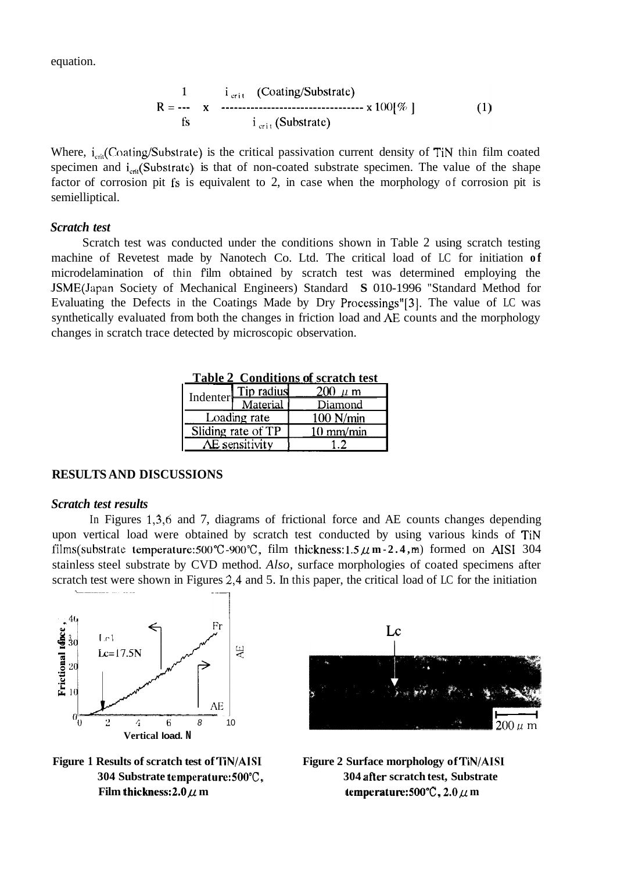equation.

$$
R = \frac{1}{rs} \quad x \quad \text{33333} \quad \text{(Coding/Substrate)}
$$
\n
$$
R = \frac{1}{rs} \quad x \quad \text{4433} \quad \text{55}
$$
\n
$$
i_{\text{crit}} \text{ (Substrate)}
$$
\n
$$
(1)
$$

Where,  $i_{\text{crit}}$ (Coating/Substrate) is the critical passivation current density of TiN thin film coated specimen and  $i_{\rm cri}$ (Substrate) is that of non-coated substrate specimen. The value of the shape factor of corrosion pit **fs** is equivalent to 2, in case when the morphology of corrosion pit is semielliptical.

## *Scratch test*

Scratch test was conducted under the conditions shown in Table 2 using scratch testing machine of Revetest made by Nanotech Co. Ltd. The critical load of LC for initiation **of**  microdelamination of thin f'ilm obtained by scratch test was determined employing the JSME(Japan Society of Mechanical Engineers) Standard **S** 010-1996 "Standard Method for Evaluating the Defects in the Coatings Made by Dry Processings"[3]. The value of LC was synthetically evaluated from both the changes in friction load and *AE* counts and the morphology changes in scratch trace detected by microscopic observation.

| <b>Indenter</b>    | Tip radius   | $200~\mu$ m         |  |
|--------------------|--------------|---------------------|--|
|                    | Material     | Diamond             |  |
|                    | Loading rate | $100$ N/min         |  |
| Sliding rate of TP |              | $10 \text{ mm/min}$ |  |
| AE sensitivity     |              |                     |  |

**Table 2 Conditions of scratch test** 

#### **RESULTS AND DISCUSSIONS**

#### *Scratch test results*

In Figures 1,3,6 and 7, diagrams of frictional force and AE counts changes depending upon vertical load were obtained by scratch test conducted by using various kinds of TiN films(substrate temperature:500°C-900°C, film thickness:1.5  $\mu$  m - 2.4, $\text{m}$ ) formed on AISI 304 stainless steel substrate by CVD method. *Also,* surface morphologies of coated specimens after scratch test were shown in Figures 2,4 and 5. In this paper, the critical load of LC for the initiation







304 Substrate temperature: 500°C, 304 after scratch test, Substrate Film thickness:  $2.0 \mu$  m temperature:  $500^{\circ}$ C,  $2.0 \mu$  m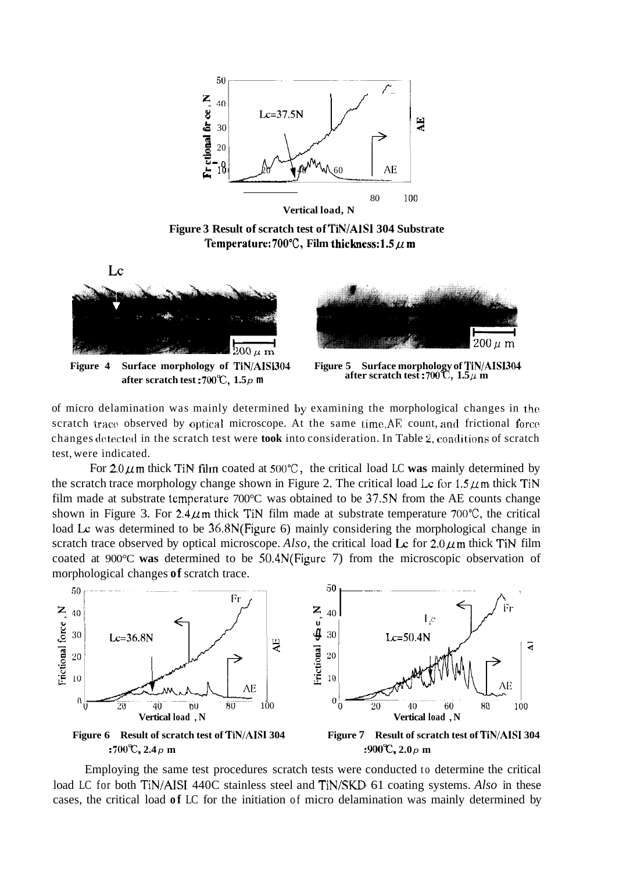

**Figure 3 Result of scratch test of TiN/AISI 304 Substrate**  Temperature:  $700^{\circ}$ C, Film thickness:  $1.5 \mu$  m



**after scratch test :700°C,**  $1.5p$  **m after scratch test :700°C,**  $1.5\mu$  **m** 



of micro delamination was mainly determined by examining the morphological changes in the scratch trace observed by optical microscope. At the same time, $AE$  count, and frictional force changes detected in the scratch test were **took** into consideration. In Table 2, conditions of scratch test, were indicated.

For  $2.0 \mu$  m thick TiN film coated at  $500^{\circ}$ C, the critical load LC was mainly determined by the scratch trace morphology change shown in Figure 2. The critical load Lc for  $1.5 \mu$ m thick TiN film made at substrate temperature 700°C was obtained to be 37.5N from the AE counts change shown in Figure 3. For  $2.4 \mu$ m thick TiN film made at substrate temperature 700°C, the critical load Lc was determined to be  $36.8N$ (Figure 6) mainly considering the morphological change in scratch trace observed by optical microscope. *Also*, the critical load  $\text{Lc}$  for 2.0  $\mu$ m thick TiN film coated at 900°C **was** determined to be 50.4N(Figure 7) from the microscopic observation of morphological changes **of** scratch trace.



Employing the same test procedures scratch tests were conducted to determine the critical load LC for both TiN/AISI 440C stainless steel and TiN/SKD 61 coating systems. *Also* in these cases, the critical load **of** LC for the initiation of micro delamination was mainly determined by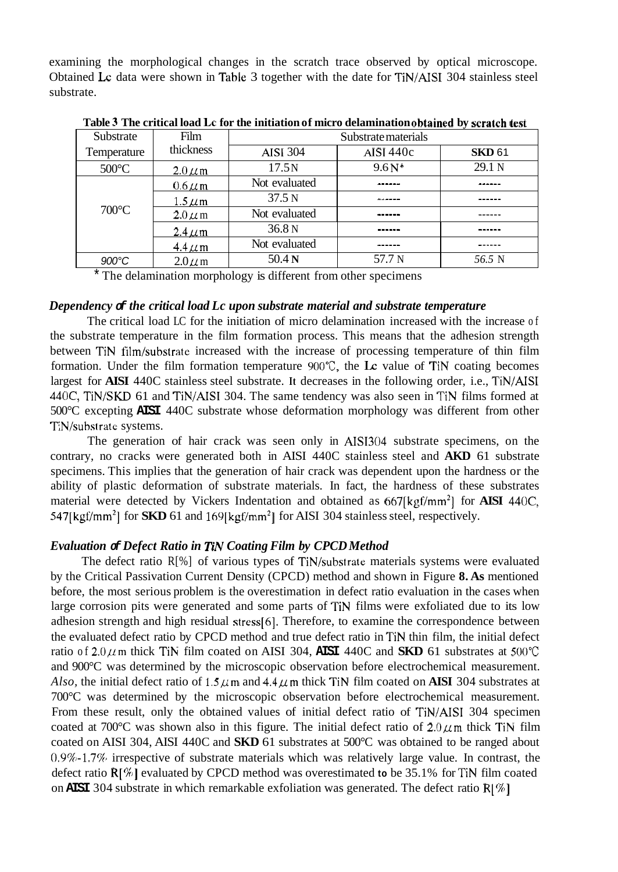examining the morphological changes in the scratch trace observed by optical microscope. Obtained **LC** data were shown in Table 3 together with the date for TiN/AISI 304 stainless steel substrate.

| Substrate       | Film        | Substrate materials |             |               |
|-----------------|-------------|---------------------|-------------|---------------|
| Temperature     | thickness   | <b>AISI 304</b>     | AISI $440c$ | <b>SKD 61</b> |
| $500^{\circ}$ C | $2.0 \mu m$ | 17.5N               | $9.6N*$     | 29.1 N        |
|                 | $0.6 \mu m$ | Not evaluated       |             |               |
|                 | $1.5 \mu m$ | 37.5 N              |             |               |
| $700^{\circ}$ C | $2.0 \mu m$ | Not evaluated       |             |               |
|                 | $2.4 \mu m$ | 36.8N               | ------      |               |
|                 | $4.4 \mu m$ | Not evaluated       |             |               |
| $900^{\circ}$ C | $2.0 \mu m$ | 50.4 <sub>N</sub>   | 57.7 N      | 56.5 N        |

**Table 3 The critical load LC for the initiation of micro delamination obtained by scratch test** 

\* The delamination morphology is different from other specimens

### *Dependency of the critical load Lc upon substrate material and substrate temperature*

The critical load LC for the initiation of micro delamination increased with the increase of the substrate temperature in the film formation process. This means that the adhesion strength between TiN tilm/substrate increased with the increase of processing temperature of thin film formation. Under the film formation temperature 900"C, the **LC** value of TiN coating becomes largest for **AISI** 440C stainless steel substrate. **It** decreases in the following order, i.e., TiN/AISI 440C, TiN/SKD 61 and TiN/AISI 304. The same tendency was also seen in TIN films formed at 500°C excepting **AISI** 440C substrate whose deformation morphology was different from other TiN/substrate systems.

The generation of hair crack was seen only in AIS1304 substrate specimens, on the contrary, no cracks were generated both in AISI 440C stainless steel and **AKD** 61 substrate specimens. This implies that the generation of hair crack was dependent upon the hardness or the ability of plastic deformation of substrate materials. In fact, the hardness of these substrates material were detected by Vickers Indentation and obtained as 667[kgf/mm2] for **AISI** 440C, 547[kgf/mm<sup>2</sup>] for **SKD** 61 and 169[kgf/mm<sup>2</sup>] for AISI 304 stainless steel, respectively.

## *Evaluation of Defect Ratio in RN Coating Film by CPCD Method*

The defect ratio R[%] of various types of TiN/substrate materials systems were evaluated by the Critical Passivation Current Density (CPCD) method and shown in [Figure](#page-5-0) **8. As** mentioned before, the most serious problem is the overestimation in defect ratio evaluation in the cases when large corrosion pits were generated and some parts of TiN films were exfoliated due to its low adhesion strength and high residual stress[6]. Therefore, to examine the correspondence between the evaluated defect ratio by CPCD method and true defect ratio in TiN thin film, the initial defect ratio of  $2.0 \mu$ m thick TiN film coated on AISI 304, AISI 440C and **SKD** 61 substrates at 500°C and 900°C was determined by the microscopic observation before electrochemical measurement. *Also,* the initial defect ratio of  $1.5 \mu$ m and  $4.4 \mu$ m thick TiN film coated on **AISI** 304 substrates at 700°C was determined by the microscopic observation before electrochemical measurement. From these result, only the obtained values of initial defect ratio of TiN/AISI 304 specimen coated at 700 $^{\circ}$ C was shown also in this figure. The initial defect ratio of  $2.0 \mu$ m thick TiN film coated on AISI 304, AISI 440C and **SKD** 61 substrates at 500°C was obtained to be ranged about  $0.9\%$ -1.7% irrespective of substrate materials which was relatively large value. In contrast, the defect ratio **R[%]** evaluated by CPCD method was overestimated **to** be 35.1% for TiN film coated on **AISI** 304 substrate in which remarkable exfoliation was generated. The defect ratio **R[%]**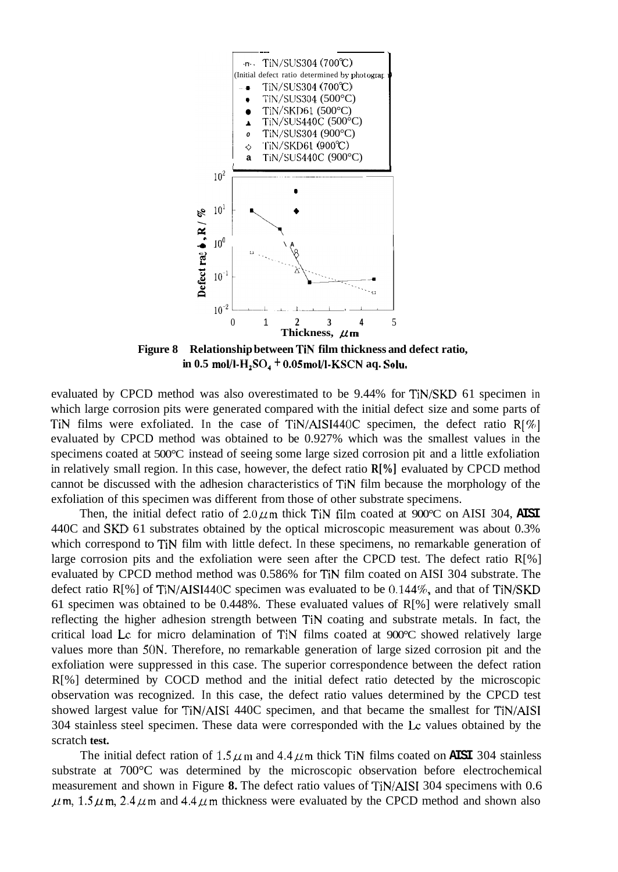<span id="page-5-0"></span>

**Figure 8 Relationship between TIN film thickness and defect ratio, in 0.5 moVI-H,SO,** + **O.OSmol/l-KSCN aq. Soh.** 

evaluated by CPCD method was also overestimated to be 9.44% for TiN/SKD 61 specimen in which large corrosion pits were generated compared with the initial defect size and some parts of TiN films were exfoliated. In the case of TiN/AISI440C specimen, the defect ratio R[%] evaluated by CPCD method was obtained to be 0.927% which was the smallest values in the specimens coated at 500°C instead of seeing some large sized corrosion pit and a little exfoliation in relatively small region. In this case, however, the defect ratio **R[%]** evaluated by CPCD method cannot be discussed with the adhesion characteristics of TiN film because the morphology of the exfoliation of this specimen was different from those of other substrate specimens.

Then, the initial defect ratio of  $2.0 \mu$ m thick TiN film coated at 900 $\degree$ C on AISI 304, AISI 440C and **SKD** 61 substrates obtained by the optical microscopic measurement was about 0.3% which correspond to TiN film with little defect. In these specimens, no remarkable generation of large corrosion pits and the exfoliation were seen after the CPCD test. The defect ratio R[%] evaluated by CPCD method method was 0.586% for TiN film coated on AISI 304 substrate. The defect ratio R[%] of TiN/AISI440C specimen was evaluated to be 0.144%, and that of TiN/SKD 61 specimen was obtained to be 0.448%. These evaluated values of  $R[\%]$  were relatively small reflecting the higher adhesion strength between TiN coating and substrate metals. In fact, the critical load **LC** for micro delamination of TiN films coated at 900°C showed relatively large values more than 50N. Therefore, no remarkable generation of large sized corrosion pit and the exfoliation were suppressed in this case. The superior correspondence between the defect ration R[%] determined by COCD method and the initial defect ratio detected by the microscopic observation was recognized. In this case, the defect ratio values determined by the CPCD test showed largest value for TiN/AISI 440C specimen, and that became the smallest for TiN/AISI 304 stainless steel specimen. These data were corresponded with the **Lc** values obtained by the scratch **test.** 

The initial defect ration of  $1.5 \mu$ m and  $4.4 \mu$ m thick TiN films coated on **AISI** 304 stainless substrate at 700°C was determined by the microscopic observation before electrochemical measurement and shown in Figure **8.** The defect ratio values of TiN/AISI 304 specimens with 0.6  $\mu$ m, 1.5 $\mu$ m, 2.4 $\mu$ m and 4.4 $\mu$ m thickness were evaluated by the CPCD method and shown also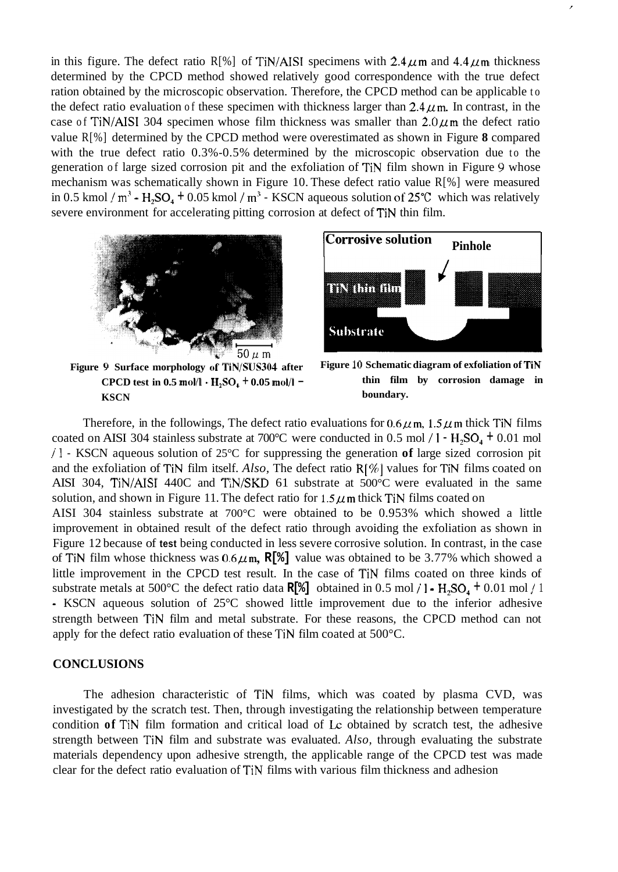in this figure. The defect ratio R[%] of TiN/AISI specimens with  $2.4 \mu$ m and  $4.4 \mu$ m thickness determined by the CPCD method showed relatively good correspondence with the true defect ration obtained by the microscopic observation. Therefore, the CPCD method can be applicable to the defect ratio evaluation of these specimen with thickness larger than  $2.4 \mu$ m. In contrast, in the case of TiN/AISI 304 specimen whose film thickness was smaller than  $2.0 \mu$ m the defect ratio value R[%] determined by the CPCD method were overestimated as shown in [Figure](#page-5-0) **8** compared with the true defect ratio 0.3%-0.5% determined by the microscopic observation due to the generation of large sized corrosion pit and the exfoliation of TiN film shown in Figure *9* whose mechanism was schematically shown in Figure 10. These defect ratio value R[%] were measured in 0.5 kmol /  $m^3$  - H<sub>2</sub>SO<sub>4</sub> + 0.05 kmol /  $m^3$  - KSCN aqueous solution of 25°C which was relatively severe environment for accelerating pitting corrosion at defect of TiN thin film.



**Corrosive solution** Pinhole n vinnen **Substrate** 

**Figure 9 Surface morphology of TiN/SUS304 after CPCD test in 0.5 mol/l**  $\cdot$  **<b>H**<sub>2</sub>SO<sub>4</sub> + 0.05 mol/l – **KSCN** 



Therefore, in the followings, The defect ratio evaluations for  $0.6 \mu$ m,  $1.5 \mu$ m thick TiN films coated on AISI 304 stainless substrate at 700°C were conducted in 0.5 mol / **1** - **H,SO,** + 0.01 mol / **1** - KSCN aqueous solution of 25°C for suppressing the generation **of** large sized corrosion pit and the exfoliation of TiN film itself. *Also,* The defect ratio **R[%]** values for TiN films coated on AISI 304, TiN/AISI 440C and TiN/SKD 61 substrate at 500°C were evaluated in the same solution, and shown in Figure 11. The defect ratio for  $1.5 \mu$ m thick TiN films coated on AISI 304 stainless substrate at 700°C were obtained to be 0.953% which showed a little improvement in obtained result of the defect ratio through avoiding the exfoliation as shown in [Figure 12](#page-7-0) because of **test** being conducted in less severe corrosive solution. In contrast, in the case of TiN film whose thickness was  $0.6 \mu$ m, **R[%]** value was obtained to be 3.77% which showed a little improvement in the CPCD test result. In the case of TiN films coated on three kinds of substrate metals at 500°C the defect ratio data  $\mathbb{R}[\mathcal{E}]$  obtained in 0.5 mol / **1 -**  $H_2SO_4$  + 0.01 mol / 1 - KSCN aqueous solution of 25°C showed little improvement due to the inferior adhesive strength between TiN film and metal substrate. For these reasons, the CPCD method can not apply for the defect ratio evaluation of these TiN film coated at 500°C.

## **CONCLUSIONS**

The adhesion characteristic of TiN films, which was coated by plasma CVD, was investigated by the scratch test. Then, through investigating the relationship between temperature condition of TiN film formation and critical load of Lc obtained by scratch test, the adhesive strength between TiN film and substrate was evaluated. *Also,* through evaluating the substrate materials dependency upon adhesive strength, the applicable range of the CPCD test was made clear for the defect ratio evaluation of TiN films with various film thickness and adhesion